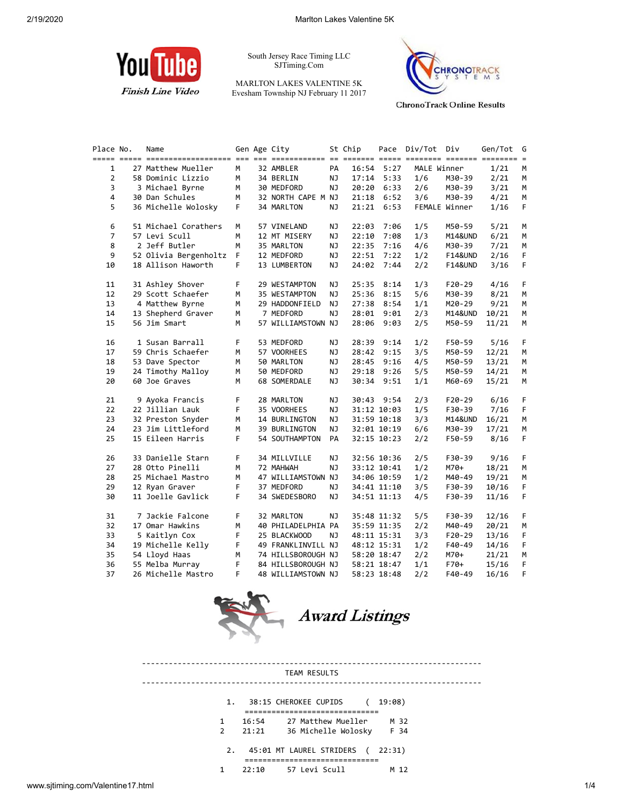

South Jersey Race Timing LLC SJTiming.Com

MARLTON LAKES VALENTINE 5K Evesham Township NJ February 11 2017



**ChronoTrack Online Results** 

| Place No.      | Name                  |    | Gen Age City       |           | St Chip | Pace        | Div/Tot Div |                    | Gen/Tot |
|----------------|-----------------------|----|--------------------|-----------|---------|-------------|-------------|--------------------|---------|
| 1              | 27 Matthew Mueller    | М  | 32 AMBLER          | PA        |         | 16:54 5:27  | MALE Winner |                    | 1/21    |
| $\overline{2}$ | 58 Dominic Lizzio     | М  | 34 BERLIN          | NJ.       | 17:14   | 5:33        | 1/6         | M30-39             | 2/21    |
| 3              | 3 Michael Byrne       | М  | 30 MEDFORD         | NJ.       | 20:20   | 6:33        | 2/6         | M30-39             | 3/21    |
| 4              | 30 Dan Schules        | M  | 32 NORTH CAPE M NJ |           | 21:18   | 6:52        | 3/6         | M30-39             | 4/21    |
| 5              | 36 Michelle Wolosky   | F. | 34 MARLTON         | NJ.       | 21:21   | 6:53        |             | FEMALE Winner      | 1/16    |
| 6              | 51 Michael Corathers  | М  | 57 VINELAND        | <b>NJ</b> | 22:03   | 7:06        | 1/5         | M50-59             | 5/21    |
| $\overline{7}$ | 57 Levi Scull         | м  | 12 MT MISERY       | ΝJ        | 22:10   | 7:08        | 1/3         | M14&UND            | 6/21    |
| 8              | 2 Jeff Butler         | м  | 35 MARLTON         | ΝJ        | 22:35   | 7:16        | 4/6         | M30-39             | 7/21    |
| 9              | 52 Olivia Bergenholtz | F. | 12 MEDFORD         | <b>NJ</b> | 22:51   | 7:22        | 1/2         | <b>F14&amp;UND</b> | 2/16    |
| 10             | 18 Allison Haworth    | F. | 13 LUMBERTON       | ΝJ        | 24:02   | 7:44        | 2/2         | <b>F14&amp;UND</b> | 3/16    |
| 11             | 31 Ashley Shover      | F. | 29 WESTAMPTON      | ΝJ        | 25:35   | 8:14        | 1/3         | $F20-29$           | 4/16    |
| 12             | 29 Scott Schaefer     | м  | 35 WESTAMPTON      | ΝJ        | 25:36   | 8:15        | 5/6         | M30-39             | 8/21    |
| 13             | 4 Matthew Byrne       | м  | 29 HADDONFIELD     | NJ.       | 27:38   | 8:54        | 1/1         | M20-29             | 9/21    |
| 14             | 13 Shepherd Graver    | м  | 7 MEDFORD          | <b>NJ</b> | 28:01   | 9:01        | 2/3         | M14&UND            | 10/21   |
| 15             | 56 Jim Smart          | М  | 57 WILLIAMSTOWN NJ |           | 28:06   | 9:03        | 2/5         | M50-59             | 11/21   |
| 16             | 1 Susan Barrall       | F. | 53 MEDFORD         | ΝJ        | 28:39   | 9:14        | 1/2         | F50-59             | 5/16    |
| 17             | 59 Chris Schaefer     | м  | 57 VOORHEES        | ΝJ        | 28:42   | 9:15        | 3/5         | M50-59             | 12/21   |
| 18             | 53 Dave Spector       | м  | 50 MARLTON         | NJ.       | 28:45   | 9:16        | 4/5         | M50-59             | 13/21   |
| 19             | 24 Timothy Malloy     | м  | 50 MEDFORD         | ΝJ        | 29:18   | 9:26        | 5/5         | M50-59             | 14/21   |
| 20             | 60 Joe Graves         | М  | 68 SOMERDALE       | NJ.       | 30:34   | 9:51        | 1/1         | M60-69             | 15/21   |
| 21             | 9 Ayoka Francis       | F  | 28 MARLTON         | NJ        |         | 30:43 9:54  | 2/3         | $F20-29$           | 6/16    |
| 22             | 22 Jillian Lauk       | F. | 35 VOORHEES        | ΝJ        |         | 31:12 10:03 | 1/5         | F30-39             | 7/16    |
| 23             | 32 Preston Snyder     | м  | 14 BURLINGTON      | ΝJ        |         | 31:59 10:18 | 3/3         | M14&UND            | 16/21   |
| 24             | 23 Jim Littleford     | м  | 39 BURLINGTON      | NJ        |         | 32:01 10:19 | 6/6         | M30-39             | 17/21   |
| 25             | 15 Eileen Harris      | F  | 54 SOUTHAMPTON     | PA        |         | 32:15 10:23 | 2/2         | F50-59             | 8/16    |
| 26             | 33 Danielle Starn     | F  | 34 MILLVILLE       | ΝJ        |         | 32:56 10:36 | 2/5         | F30-39             | 9/16    |
| 27             | 28 Otto Pinelli       | м  | 72 MAHWAH          | NJ.       |         | 33:12 10:41 | 1/2         | M70+               | 18/21   |
| 28             | 25 Michael Mastro     | м  | 47 WILLIAMSTOWN NJ |           |         | 34:06 10:59 | 1/2         | M40-49             | 19/21   |
| 29             | 12 Ryan Graver        | F  | 37 MEDFORD         | NJ.       |         | 34:41 11:10 | 3/5         | F30-39             | 10/16   |
| 30             | 11 Joelle Gavlick     | F. | 34 SWEDESBORO      | ΝJ        |         | 34:51 11:13 | 4/5         | F30-39             | 11/16   |
| 31             | 7 Jackie Falcone      | F  | 32 MARLTON         | ΝJ        |         | 35:48 11:32 | 5/5         | F30-39             | 12/16   |
| 32             | 17 Omar Hawkins       | м  | 40 PHILADELPHIA PA |           |         | 35:59 11:35 | 2/2         | M40-49             | 20/21   |
| 33             | 5 Kaitlyn Cox         | F  | 25 BLACKWOOD       | NJ.       |         | 48:11 15:31 | 3/3         | $F20-29$           | 13/16   |
| 34             | 19 Michelle Kelly     | F  | 49 FRANKLINVILL NJ |           |         | 48:12 15:31 | 1/2         | F40-49             | 14/16   |
| 35             | 54 Lloyd Haas         | М  | 74 HILLSBOROUGH NJ |           |         | 58:20 18:47 | 2/2         | M70+               | 21/21   |
| 36             | 55 Melba Murray       | F  | 84 HILLSBOROUGH NJ |           |         | 58:21 18:47 | 1/1         | F70+               | 15/16   |
| 37             | 26 Michelle Mastro    | F  | 48 WILLIAMSTOWN NJ |           |         | 58:23 18:48 | 2/2         | F40-49             | 16/16   |



---------------------------------------------------------------------------- TEAM RESULTS ---------------------------------------------------------------------------- 1. 38:15 CHEROKEE CUPIDS ( 19:08) ============================== 1 16:54 27 Matthew Mueller M 32 2 21:21 36 Michelle Wolosky F 34 2. 45:01 MT LAUREL STRIDERS ( 22:31) ============================== 1 22:10 57 Levi Scull M 12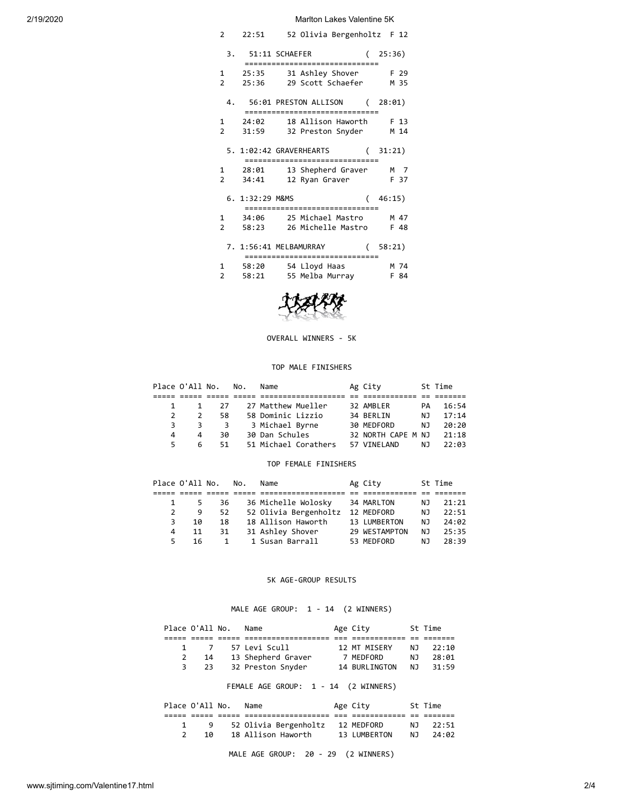2/19/2020 Marlton Lakes Valentine 5K

| 2                      | 22:51 52 Olivia Bergenholtz F 12                            |             |
|------------------------|-------------------------------------------------------------|-------------|
|                        | 3. 51:11 SCHAEFER (25:36)<br>============================== |             |
|                        | 1 25:35 31 Ashley Shover F 29                               |             |
|                        | 2 25:36 29 Scott Schaefer M 35                              |             |
|                        |                                                             |             |
|                        | 4. 56:01 PRESTON ALLISON (28:01)                            |             |
|                        | ================================                            |             |
|                        | 1 24:02 18 Allison Haworth F 13                             |             |
|                        | 2 31:59 32 Preston Snyder M 14                              |             |
|                        | 5. 1:02:42 GRAVERHEARTS<br>==============================   | (31:21)     |
|                        | 1 28:01 13 Shepherd Graver M 7                              |             |
| $\mathcal{P}$<br>34:41 | 12 Ryan Graver                                              | <b>F</b> 37 |
|                        |                                                             |             |
| 6. 1:32:29 M&MS        |                                                             | (46:15)     |
|                        | =====================                                       |             |
|                        | 1 34:06 25 Michael Mastro M 47                              |             |
|                        | 2 58:23 26 Michelle Mastro F 48                             |             |
|                        |                                                             |             |
|                        | 7. 1:56:41 MELBAMURRAY (58:21)                              |             |
|                        | ===============================                             |             |
|                        | 1 58:20 54 Lloyd Haas                                       | M 74        |
|                        | 2 58:21 55 Melba Murray                                     | F 84        |
|                        |                                                             |             |
|                        | $2.2 - 4.8$                                                 |             |



### OVERALL WINNERS - 5K

## TOP MALE FINISHERS

|   | Place O'All No. |              | No. | Name                 | Ag City            |     | St Time |
|---|-----------------|--------------|-----|----------------------|--------------------|-----|---------|
|   |                 |              |     |                      |                    |     |         |
|   |                 | 27           |     | 27 Matthew Mueller   | 32 AMBLER          | PА  | 16:54   |
|   |                 | 58           |     | 58 Dominic Lizzio    | 34 BERLIN          | NJ. | 17:14   |
| 3 | 3               | $\mathbf{R}$ |     | 3 Michael Byrne      | 30 MEDFORD         | NJ. | 20:20   |
| 4 | 4               | 30           |     | 30 Dan Schules       | 32 NORTH CAPE M NJ |     | 21:18   |
|   | 6               | 51.          |     | 51 Michael Corathers | 57 VTNFI AND       | NJ. | 22:03   |

## TOP FEMALE FINISHERS

|   | Place O'All No. |              | No. | Name                  | Ag City       |     | St Time |
|---|-----------------|--------------|-----|-----------------------|---------------|-----|---------|
|   |                 |              |     |                       |               |     |         |
|   | 5               | 36           |     | 36 Michelle Wolosky   | 34 MARLTON    | NJ. | 21:21   |
|   | 9               | 52           |     | 52 Olivia Bergenholtz | 12 MEDFORD    | NJ. | 22:51   |
| 3 | 10              | 18           |     | 18 Allison Haworth    | 13 LUMBERTON  | NJ. | 24:02   |
| 4 | 11              | 31           |     | 31 Ashley Shover      | 29 WESTAMPTON | NJ. | 25:35   |
| 5 | 16              | $\mathbf{1}$ |     | 1 Susan Barrall       | 53 MEDFORD    | NJ. | 28:39   |

## 5K AGE-GROUP RESULTS

# MALE AGE GROUP: 1 - 14 (2 WINNERS)

|               | Place O'All No. | Name                                 | Age City      |     | St Time |
|---------------|-----------------|--------------------------------------|---------------|-----|---------|
|               |                 |                                      |               |     |         |
| 1             | 7               | 57 Levi Scull                        | 12 MT MISERY  | NJ  | 22:10   |
| 2             | 14              | 13 Shepherd Graver                   | 7 MEDFORD     | NJ  | 28:01   |
| 3             | 23              | 32 Preston Snyder                    | 14 BURLINGTON | NJ  | 31:59   |
|               |                 | FEMALE AGE GROUP: 1 - 14 (2 WINNERS) |               |     |         |
|               | Place O'All No. | Name                                 | Age City      |     | St Time |
|               |                 |                                      |               |     |         |
| 1             | 9               | 52 Olivia Bergenholtz                | 12 MEDFORD    | NJ. | 22:51   |
| $\mathcal{P}$ | 10              | 18 Allison Haworth                   | 13 LUMBERTON  | NJ. | 24:02   |
|               |                 |                                      |               |     |         |

MALE AGE GROUP: 20 - 29 (2 WINNERS)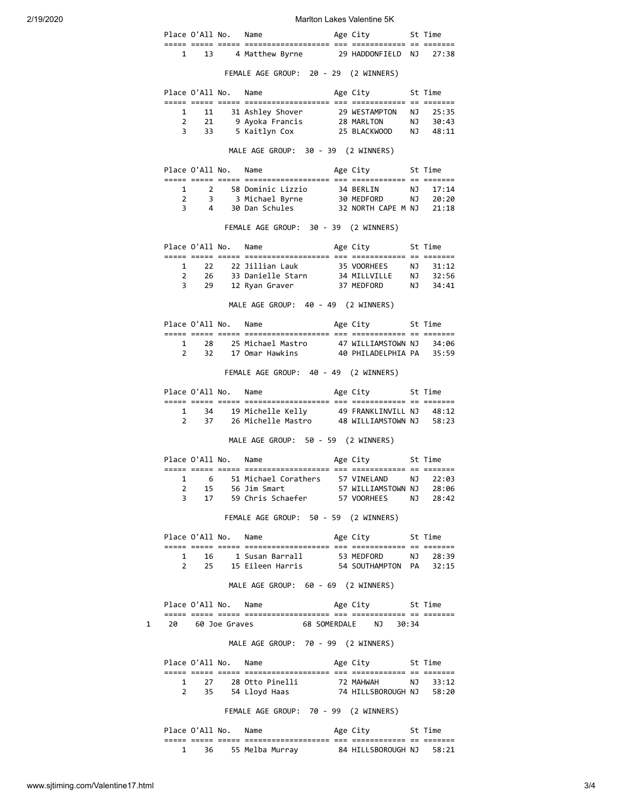2/19/2020 Marlton Lakes Valentine 5K

|  | Place O'All No. | Name                                       |  | Age City                | St Time |  |
|--|-----------------|--------------------------------------------|--|-------------------------|---------|--|
|  |                 |                                            |  |                         |         |  |
|  | 13              | 4 Matthew Byrne                            |  | 29 HADDONFIELD NJ 27:38 |         |  |
|  |                 | FEMALE AGE GROUD $\cdot$ 20 20 (2 MTNNERS) |  |                         |         |  |

FEMALE AGE GROUP: 20 - 29 (2 WINNERS) Place O'All No. Name Mage City St Time ===== ===== ===== =================== === ============ == ======= 1 11 31 Ashley Shover 29 WESTAMPTON NJ 25:35 2 21 9 Ayoka Francis 28 MARLTON NJ 30:43 3 33 5 Kaitlyn Cox 25 BLACKWOOD NJ 48:11 MALE AGE GROUP: 30 - 39 (2 WINNERS) Place O'All No. Name Age City St Time ===== ===== ===== =================== === ============ == ======= 1 2 58 Dominic Lizzio 34 BERLIN NJ 17:14 2 3 3 Michael Byrne 30 MEDFORD NJ 20:20 3 4 30 Dan Schules 32 NORTH CAPE M NJ 21:18 FEMALE AGE GROUP: 30 - 39 (2 WINNERS) Place O'All No. Name Age City St Time ===== ===== ===== =================== === ============ == ======= 1 22 22 Jillian Lauk 35 VOORHEES NJ 31:12 2 26 33 Danielle Starn 34 MILLVILLE NJ 32:56 3 29 12 Ryan Graver 37 MEDFORD NJ 34:41 MALE AGE GROUP: 40 - 49 (2 WINNERS) Place O'All No. Name Mage City St Time ===== ===== ===== =================== === ============ == ======= 1 28 25 Michael Mastro 47 WILLIAMSTOWN NJ 34:06 2 32 17 Omar Hawkins 40 PHILADELPHIA PA 35:59 FEMALE AGE GROUP: 40 - 49 (2 WINNERS) Place O'All No. Name Age City St Time ===== ===== ===== =================== === ============ == ======= 1 34 19 Michelle Kelly 49 FRANKLINVILL NJ 48:12 2 37 26 Michelle Mastro 48 WILLIAMSTOWN NJ 58:23 MALE AGE GROUP: 50 - 59 (2 WINNERS) Place O'All No. Name Age City St Time ===== ===== ===== =================== === ============ == ======= 1 6 51 Michael Corathers 57 VINELAND NJ 22:03 2 15 56 Jim Smart 57 WILLIAMSTOWN NJ 28:06 3 17 59 Chris Schaefer 57 VOORHEES NJ 28:42 FEMALE AGE GROUP: 50 - 59 (2 WINNERS) Place O'All No. Name Age City St Time ===== ===== ===== =================== === ============ == ======= 1 16 1 Susan Barrall 53 MEDFORD NJ 28:39 2 25 15 Eileen Harris 54 SOUTHAMPTON PA 32:15 MALE AGE GROUP: 60 - 69 (2 WINNERS) Place O'All No. Name Age City St Time ===== ===== ===== =================== === ============ == ======= 1 20 60 Joe Graves 68 SOMERDALE NJ 30:34 MALE AGE GROUP: 70 - 99 (2 WINNERS) Place O'All No. Name Age City St Time ===== ===== ===== =================== === ============ == ======= 1 27 28 Otto Pinelli 72 MAHWAH NJ 33:12 2 35 54 Lloyd Haas 74 HILLSBOROUGH NJ 58:20

FEMALE AGE GROUP: 70 - 99 (2 WINNERS)

|  | Place O'All No. |       | Name              |            | Age City           |             | St Time |
|--|-----------------|-------|-------------------|------------|--------------------|-------------|---------|
|  |                 | _____ | ----------------- | ___<br>___ |                    | $ -$<br>$-$ |         |
|  | 36              |       | 55 Melba Murray   |            | 84 HILLSBOROUGH NJ |             | 58:21   |